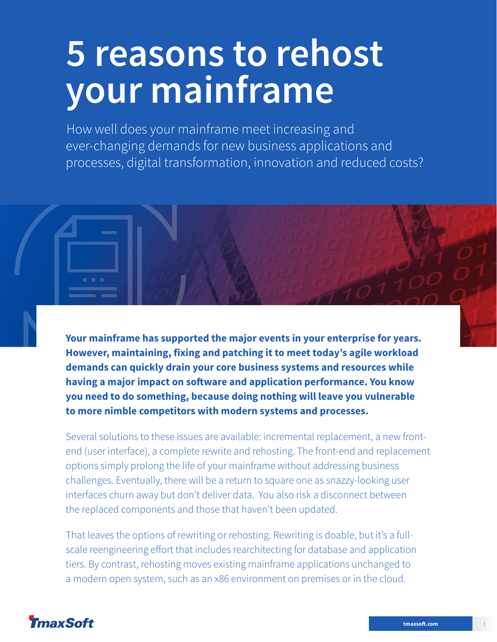# **5 reasons to rehost your mainframe**

How well does your mainframe meet increasing and ever-changing demands for new business applications and processes, digital transformation, innovation and reduced costs?

**Your mainframe has supported the major events in your enterprise for years. However, maintaining, fixing and patching it to meet today's agile workload demands can quickly drain your core business systems and resources while having a major impact on software and application performance. You know you need to do something, because doing nothing will leave you vulnerable to more nimble competitors with modern systems and processes.**

Several solutions to these issues are available: incremental replacement, a new frontend (user interface), a complete rewrite and rehosting. The front-end and replacement options simply prolong the life of your mainframe without addressing business challenges. Eventually, there will be a return to square one as snazzy-looking user interfaces churn away but don't deliver data. You also risk a disconnect between the replaced components and those that haven't been updated.

That leaves the options of rewriting or rehosting. Rewriting is doable, but it's a fullscale reengineering effort that includes rearchitecting for database and application tiers. By contrast, rehosting moves existing mainframe applications unchanged to a modern open system, such as an x86 environment on premises or in the cloud.

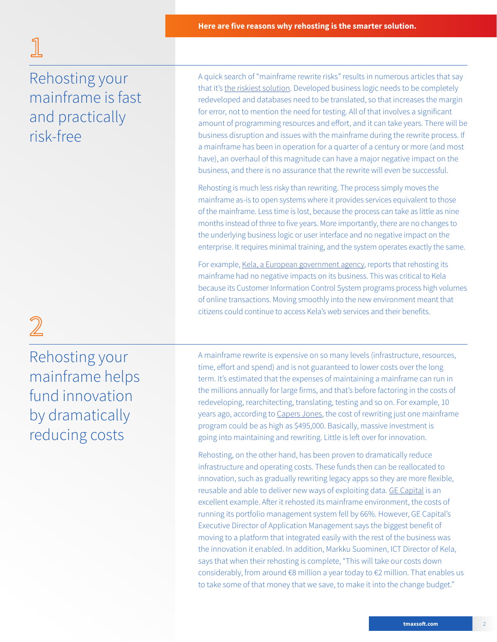$\overline{2}$ 

### Rehosting your mainframe is fast and practically risk-free

A quick search of "mainframe rewrite risks" results in numerous articles that say that it's [the riskiest solution](https://blogs.vmware.com/vfabric/2013/01/four-strategies-for-modernizing-mainframe-applications-to-the-cloud.html). Developed business logic needs to be completely redeveloped and databases need to be translated, so that increases the margin for error, not to mention the need for testing. All of that involves a significant amount of programming resources and effort, and it can take years. There will be business disruption and issues with the mainframe during the rewrite process. If a mainframe has been in operation for a quarter of a century or more (and most have), an overhaul of this magnitude can have a major negative impact on the business, and there is no assurance that the rewrite will even be successful.

Rehosting is much less risky than rewriting. The process simply moves the mainframe as-is to open systems where it provides services equivalent to those of the mainframe. Less time is lost, because the process can take as little as nine months instead of three to five years. More importantly, there are no changes to the underlying business logic or user interface and no negative impact on the enterprise. It requires minimal training, and the system operates exactly the same.

For example, [Kela, a European government agency,](https://www.tmaxsoft.com/kela-case-study-video/) reports that rehosting its mainframe had no negative impacts on its business. This was critical to Kela because its Customer Information Control System programs process high volumes of online transactions. Moving smoothly into the new environment meant that citizens could continue to access Kela's web services and their benefits.

Rehosting your mainframe helps fund innovation by dramatically reducing costs

A mainframe rewrite is expensive on so many levels (infrastructure, resources, time, effort and spend) and is not guaranteed to lower costs over the long term. It's estimated that the expenses of maintaining a mainframe can run in the millions annually for large firms, and that's before factoring in the costs of redeveloping, rearchitecting, translating, testing and so on. For example, 10 years ago, according to [Capers Jones,](http://studylib.net/doc/18248112/software-estimating-rules-of-thumb) the cost of rewriting just one mainframe program could be as high as \$495,000. Basically, massive investment is going into maintaining and rewriting. Little is left over for innovation.

Rehosting, on the other hand, has been proven to dramatically reduce infrastructure and operating costs. These funds then can be reallocated to innovation, such as gradually rewriting legacy apps so they are more flexible, reusable and able to deliver new ways of exploiting data. [GE Capital](http://www.tmaxsoft.com/wp-content/uploads/TmaxSoft_CaseStudy_GEcapital.pdf) is an excellent example. After it rehosted its mainframe environment, the costs of running its portfolio management system fell by 66%. However, GE Capital's Executive Director of Application Management says the biggest benefit of moving to a platform that integrated easily with the rest of the business was the innovation it enabled. In addition, Markku Suominen, ICT Director of Kela, says that when their rehosting is complete, "This will take our costs down considerably, from around €8 million a year today to €2 million. That enables us to take some of that money that we save, to make it into the change budget."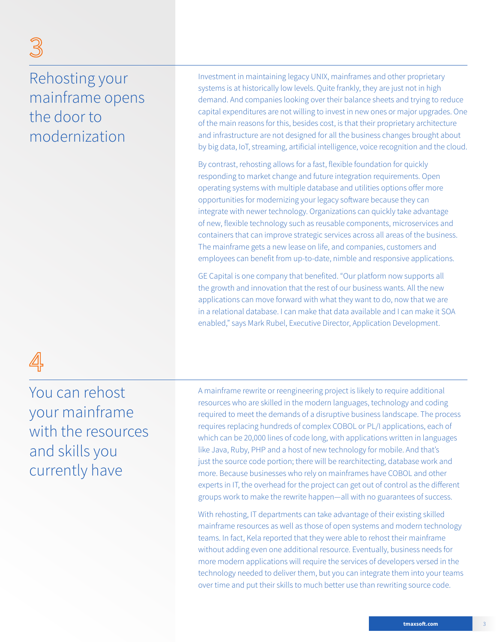### Rehosting your mainframe opens the door to modernization

 $\mathbb S$ 

Investment in maintaining legacy UNIX, mainframes and other proprietary systems is at historically low levels. Quite frankly, they are just not in high demand. And companies looking over their balance sheets and trying to reduce capital expenditures are not willing to invest in new ones or major upgrades. One of the main reasons for this, besides cost, is that their proprietary architecture and infrastructure are not designed for all the business changes brought about by big data, IoT, streaming, artificial intelligence, voice recognition and the cloud.

By contrast, rehosting allows for a fast, flexible foundation for quickly responding to market change and future integration requirements. Open operating systems with multiple database and utilities options offer more opportunities for modernizing your legacy software because they can integrate with newer technology. Organizations can quickly take advantage of new, flexible technology such as reusable components, microservices and containers that can improve strategic services across all areas of the business. The mainframe gets a new lease on life, and companies, customers and employees can benefit from up-to-date, nimble and responsive applications.

GE Capital is one company that benefited. "Our platform now supports all the growth and innovation that the rest of our business wants. All the new applications can move forward with what they want to do, now that we are in a relational database. I can make that data available and I can make it SOA enabled," says Mark Rubel, Executive Director, Application Development.

## 4

You can rehost your mainframe with the resources and skills you currently have

A mainframe rewrite or reengineering project is likely to require additional resources who are skilled in the modern languages, technology and coding required to meet the demands of a disruptive business landscape. The process requires replacing hundreds of complex COBOL or PL/I applications, each of which can be 20,000 lines of code long, with applications written in languages like Java, Ruby, PHP and a host of new technology for mobile. And that's just the source code portion; there will be rearchitecting, database work and more. Because businesses who rely on mainframes have COBOL and other experts in IT, the overhead for the project can get out of control as the different groups work to make the rewrite happen—all with no guarantees of success.

With rehosting, IT departments can take advantage of their existing skilled mainframe resources as well as those of open systems and modern technology teams. In fact, Kela reported that they were able to rehost their mainframe without adding even one additional resource. Eventually, business needs for more modern applications will require the services of developers versed in the technology needed to deliver them, but you can integrate them into your teams over time and put their skills to much better use than rewriting source code.